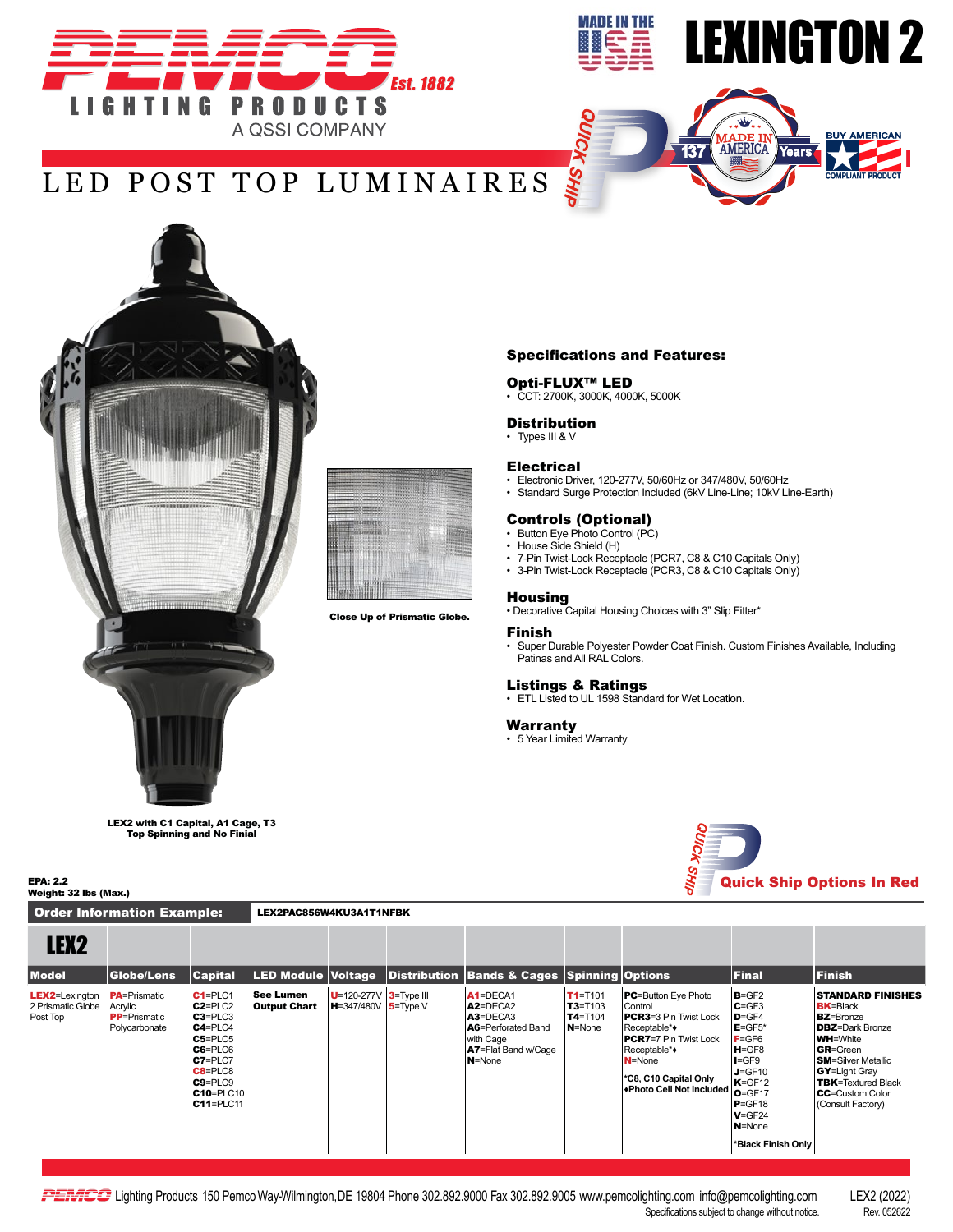



AMERICA

Years

137

**BUY AMERICAN** 

## LED POST TOP LUMINAIRES



LEX2 with C1 Capital, A1 Cage, T3 Top Spinning and No Finial

Order Information Example: LEX2PAC856W4KU3A1T1NFBK

Specifications and Features:

#### Opti-FLUX™ LED

**SHII** 

• CCT: 2700K, 3000K, 4000K, 5000K

#### **Distribution**

• Types III & V

#### Electrical

- Electronic Driver, 120-277V, 50/60Hz or 347/480V, 50/60Hz
- Standard Surge Protection Included (6kV Line-Line; 10kV Line-Earth)

### Controls (Optional) • Button Eye Photo Control (PC)

- 
- House Side Shield (H)
- 7-Pin Twist-Lock Receptacle (PCR7, C8 & C10 Capitals Only) • 3-Pin Twist-Lock Receptacle (PCR3, C8 & C10 Capitals Only)

### **Housing**

• Decorative Capital Housing Choices with 3" Slip Fitter\*

#### Finish

• Super Durable Polyester Powder Coat Finish. Custom Finishes Available, Including Patinas and All RAL Colors.

Listings & Ratings<br>• ETL Listed to UL 1598 Standard for Wet Location.

#### Warranty

• 5 Year Limited Warranty



| LEX <sub>2</sub>                                        |                                                                          |                                                                                                                                                                                            |                                  |                                                    |                                                                                                                  |                                                     |                                                                                                                                                                                                         |                                                                                                                                                                                            |                                                                                                                                                                                                                                                                 |
|---------------------------------------------------------|--------------------------------------------------------------------------|--------------------------------------------------------------------------------------------------------------------------------------------------------------------------------------------|----------------------------------|----------------------------------------------------|------------------------------------------------------------------------------------------------------------------|-----------------------------------------------------|---------------------------------------------------------------------------------------------------------------------------------------------------------------------------------------------------------|--------------------------------------------------------------------------------------------------------------------------------------------------------------------------------------------|-----------------------------------------------------------------------------------------------------------------------------------------------------------------------------------------------------------------------------------------------------------------|
| <b>Model</b>                                            | Globe/Lens                                                               | <b>Capital</b>                                                                                                                                                                             | LED Module Voltage               |                                                    | Distribution Bands & Cages Spinning Options                                                                      |                                                     |                                                                                                                                                                                                         | Final                                                                                                                                                                                      | <b>Finish</b>                                                                                                                                                                                                                                                   |
| <b>LEX2</b> =Lexington<br>2 Prismatic Globe<br>Post Top | <b>PA</b> =Prismatic<br>Acrylic<br><b>PP</b> =Prismatic<br>Polycarbonate | $C1 = PLC1$<br>$C2 = PLC2$<br>$C3 = PLC3$<br>$C4 = PLC4$<br>$C5 = PLC5$<br>$C6 = PLC6$<br>$C7 = PLC7$<br>$C8 = PLC8$<br>$C9 = PLC9$<br>C <sub>10</sub> =PLC <sub>10</sub><br>$C11 = PLC11$ | See Lumen<br><b>Output Chart</b> | $U=120-277V$ 3=Type III<br>$H = 347/480V$ 5=Type V | $A1 = DECA1$<br>$A2 = DECA2$<br>$A3 = DECA3$<br>A6=Perforated Band<br>with Cage<br>A7=Flat Band w/Cage<br>N=None | $T1 = T101$<br>$T3 = T103$<br>$T4 = T104$<br>N=None | <b>PC</b> =Button Eye Photo<br>Control<br><b>PCR3</b> =3 Pin Twist Lock<br>Receptable**<br><b>PCR7</b> =7 Pin Twist Lock<br>Receptable*◆<br>N=None<br>*C8, C10 Capital Only<br>+Photo Cell Not Included | $B = GF2$<br>$C = GF3$<br>$D = GF4$<br>$E = GF5*$<br>$F = GF6$<br>H=GF8<br>$I = GF9$<br>$J = GF10$<br>$K = GF12$<br>$O = GF17$<br>$P = GF18$<br>$V = GF24$<br>N=None<br>*Black Finish Only | <b>STANDARD FINISHES</b><br><b>BK=Black</b><br><b>BZ</b> =Bronze<br><b>DBZ</b> =Dark Bronze<br><b>WH=White</b><br><b>GR</b> =Green<br><b>SM</b> =Silver Metallic<br><b>GY</b> =Light Gray<br>TBK=Textured Black<br><b>CC</b> =Custom Color<br>(Consult Factory) |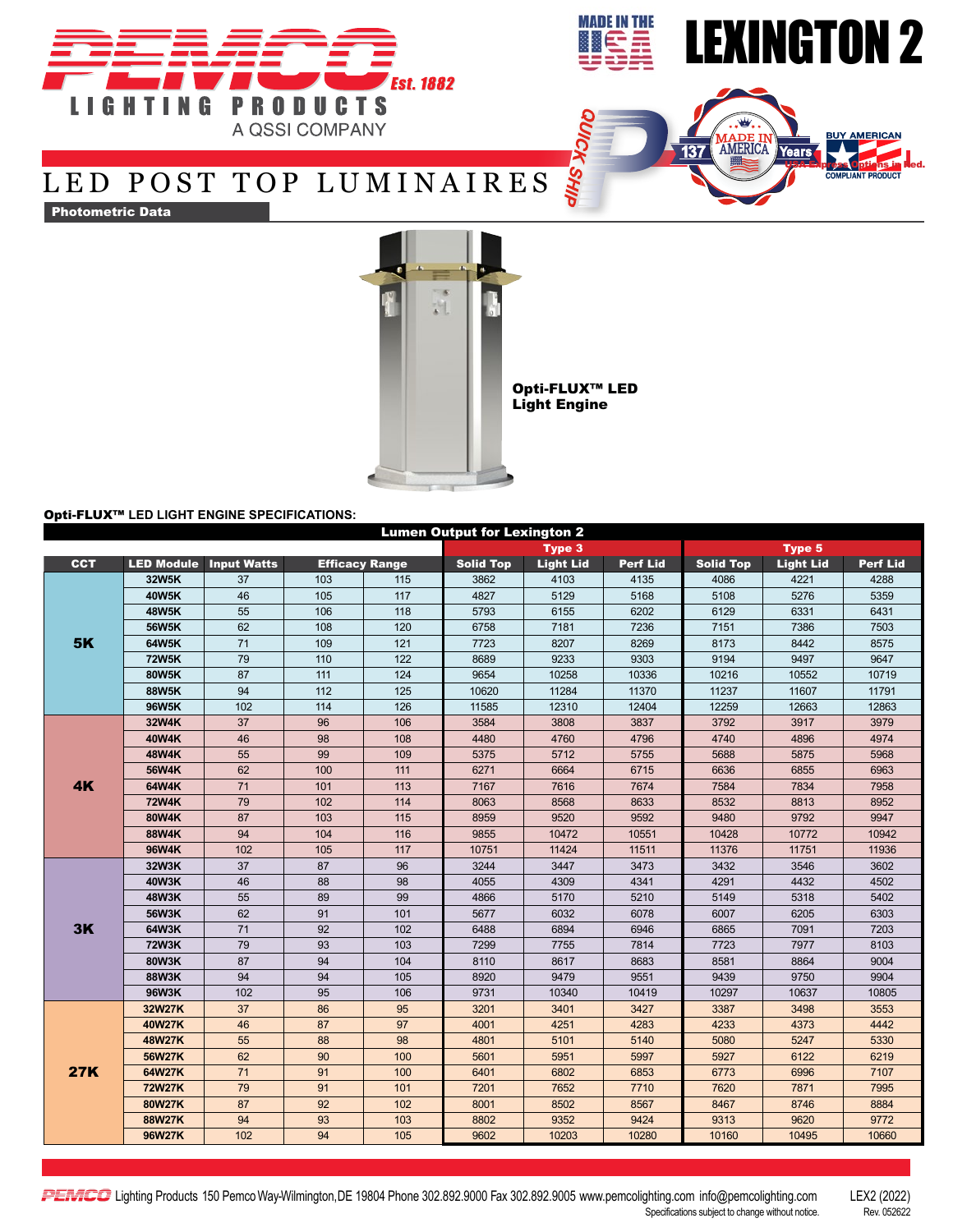



USA Express Options in Red.

### LED POST TOP LUMINAIRES

Photometric Data



Opti-FLUX™ LED Light Engine

#### Opti-FLUX™ **LED LIGHT ENGINE SPECIFICATIONS:**

| <b>Lumen Output for Lexington 2</b> |               |                               |                       |     |                  |                  |                 |                  |                  |                 |  |  |
|-------------------------------------|---------------|-------------------------------|-----------------------|-----|------------------|------------------|-----------------|------------------|------------------|-----------------|--|--|
|                                     |               |                               |                       |     |                  | Type 3           |                 | <b>Type 5</b>    |                  |                 |  |  |
| <b>CCT</b>                          |               | <b>LED Module Input Watts</b> | <b>Efficacy Range</b> |     | <b>Solid Top</b> | <b>Light Lid</b> | <b>Perf Lid</b> | <b>Solid Top</b> | <b>Light Lid</b> | <b>Perf Lid</b> |  |  |
| <b>5K</b>                           | 32W5K         | 37                            | 103                   | 115 | 3862             | 4103             | 4135            | 4086             | 4221             | 4288            |  |  |
|                                     | 40W5K         | 46                            | 105                   | 117 | 4827             | 5129             | 5168            | 5108             | 5276             | 5359            |  |  |
|                                     | <b>48W5K</b>  | 55                            | 106                   | 118 | 5793             | 6155             | 6202            | 6129             | 6331             | 6431            |  |  |
|                                     | 56W5K         | 62                            | 108                   | 120 | 6758             | 7181             | 7236            | 7151             | 7386             | 7503            |  |  |
|                                     | 64W5K         | 71                            | 109                   | 121 | 7723             | 8207             | 8269            | 8173             | 8442             | 8575            |  |  |
|                                     | <b>72W5K</b>  | 79                            | 110                   | 122 | 8689             | 9233             | 9303            | 9194             | 9497             | 9647            |  |  |
|                                     | 80W5K         | 87                            | 111                   | 124 | 9654             | 10258            | 10336           | 10216            | 10552            | 10719           |  |  |
|                                     | 88W5K         | 94                            | 112                   | 125 | 10620            | 11284            | 11370           | 11237            | 11607            | 11791           |  |  |
|                                     | <b>96W5K</b>  | 102                           | 114                   | 126 | 11585            | 12310            | 12404           | 12259            | 12663            | 12863           |  |  |
| 4K                                  | 32W4K         | 37                            | 96                    | 106 | 3584             | 3808             | 3837            | 3792             | 3917             | 3979            |  |  |
|                                     | 40W4K         | 46                            | 98                    | 108 | 4480             | 4760             | 4796            | 4740             | 4896             | 4974            |  |  |
|                                     | 48W4K         | 55                            | 99                    | 109 | 5375             | 5712             | 5755            | 5688             | 5875             | 5968            |  |  |
|                                     | 56W4K         | 62                            | 100                   | 111 | 6271             | 6664             | 6715            | 6636             | 6855             | 6963            |  |  |
|                                     | 64W4K         | 71                            | 101                   | 113 | 7167             | 7616             | 7674            | 7584             | 7834             | 7958            |  |  |
|                                     | <b>72W4K</b>  | 79                            | 102                   | 114 | 8063             | 8568             | 8633            | 8532             | 8813             | 8952            |  |  |
|                                     | 80W4K         | 87                            | 103                   | 115 | 8959             | 9520             | 9592            | 9480             | 9792             | 9947            |  |  |
|                                     | 88W4K         | 94                            | 104                   | 116 | 9855             | 10472            | 10551           | 10428            | 10772            | 10942           |  |  |
|                                     | 96W4K         | 102                           | 105                   | 117 | 10751            | 11424            | 11511           | 11376            | 11751            | 11936           |  |  |
|                                     | 32W3K         | 37                            | 87                    | 96  | 3244             | 3447             | 3473            | 3432             | 3546             | 3602            |  |  |
|                                     | 40W3K         | 46                            | 88                    | 98  | 4055             | 4309             | 4341            | 4291             | 4432             | 4502            |  |  |
|                                     | <b>48W3K</b>  | 55                            | 89                    | 99  | 4866             | 5170             | 5210            | 5149             | 5318             | 5402            |  |  |
|                                     | 56W3K         | 62                            | 91                    | 101 | 5677             | 6032             | 6078            | 6007             | 6205             | 6303            |  |  |
| 3K                                  | 64W3K         | 71                            | 92                    | 102 | 6488             | 6894             | 6946            | 6865             | 7091             | 7203            |  |  |
|                                     | <b>72W3K</b>  | 79                            | 93                    | 103 | 7299             | 7755             | 7814            | 7723             | 7977             | 8103            |  |  |
|                                     | 80W3K         | 87                            | 94                    | 104 | 8110             | 8617             | 8683            | 8581             | 8864             | 9004            |  |  |
|                                     | 88W3K         | 94                            | 94                    | 105 | 8920             | 9479             | 9551            | 9439             | 9750             | 9904            |  |  |
|                                     | 96W3K         | 102                           | 95                    | 106 | 9731             | 10340            | 10419           | 10297            | 10637            | 10805           |  |  |
| <b>27K</b>                          | 32W27K        | 37                            | 86                    | 95  | 3201             | 3401             | 3427            | 3387             | 3498             | 3553            |  |  |
|                                     | 40W27K        | 46                            | 87                    | 97  | 4001             | 4251             | 4283            | 4233             | 4373             | 4442            |  |  |
|                                     | <b>48W27K</b> | 55                            | 88                    | 98  | 4801             | 5101             | 5140            | 5080             | 5247             | 5330            |  |  |
|                                     | 56W27K        | 62                            | 90                    | 100 | 5601             | 5951             | 5997            | 5927             | 6122             | 6219            |  |  |
|                                     | 64W27K        | 71                            | 91                    | 100 | 6401             | 6802             | 6853            | 6773             | 6996             | 7107            |  |  |
|                                     | <b>72W27K</b> | 79                            | 91                    | 101 | 7201             | 7652             | 7710            | 7620             | 7871             | 7995            |  |  |
|                                     | 80W27K        | 87                            | 92                    | 102 | 8001             | 8502             | 8567            | 8467             | 8746             | 8884            |  |  |
|                                     | 88W27K        | 94                            | 93                    | 103 | 8802             | 9352             | 9424            | 9313             | 9620             | 9772            |  |  |
|                                     | 96W27K        | 102                           | 94                    | 105 | 9602             | 10203            | 10280           | 10160            | 10495            | 10660           |  |  |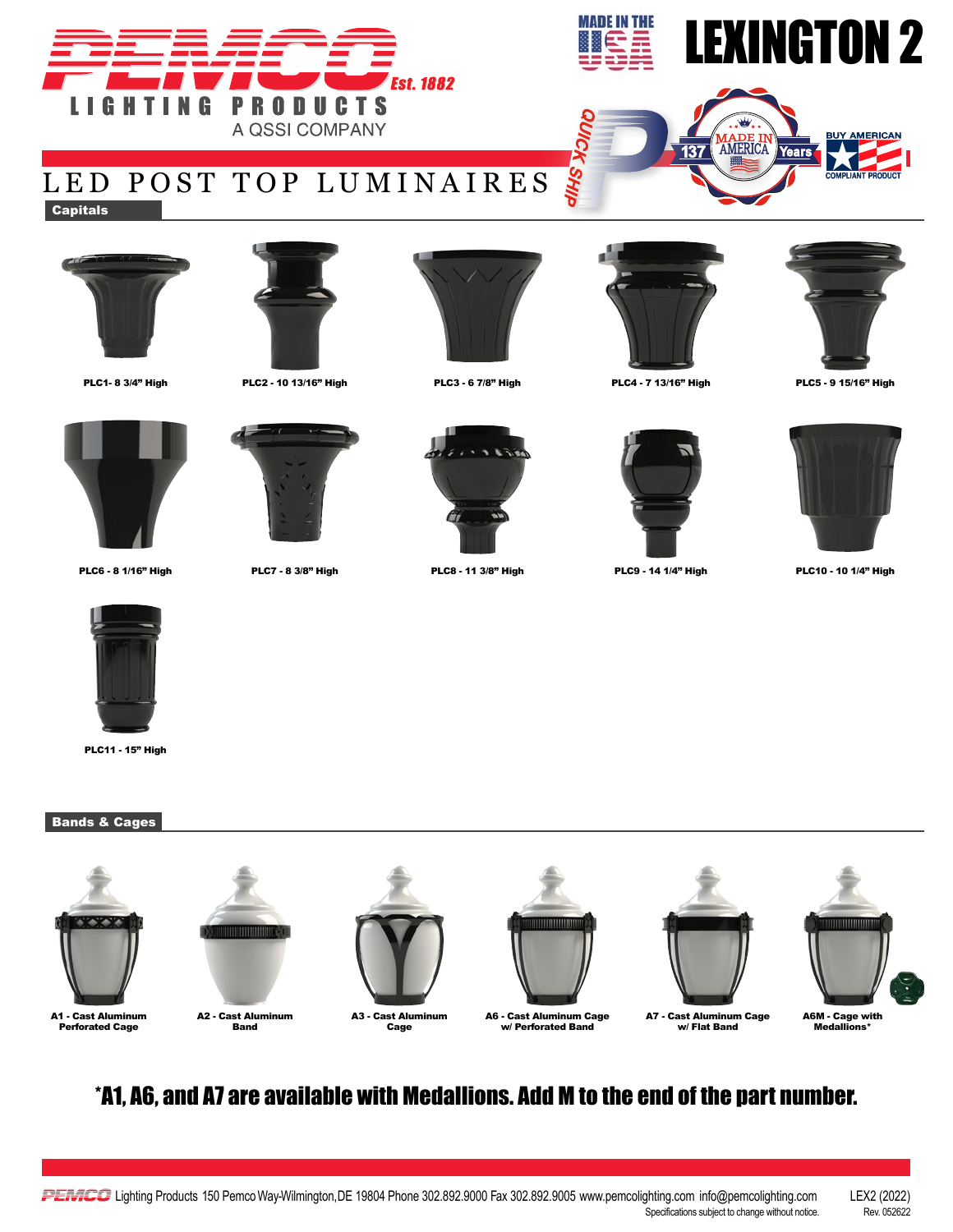



AMERICA

Years

137

# LED POST TOP LUMINAIRES

**Capitals** 











**AIHS X:** 













PLC6 - 8 1/16" High PLC7 - 8 3/8" High PLC8 - 11 3/8" High PLC9 - 14 1/4" High PLC10 - 10 1/4" High



PLC11 - 15" High

### Bands & Cages



A1 - Cast Aluminum Perforated Cage









A6 - Cast Aluminum Cage w/ Perforated Band





A6M - Cage with Medallions\*

### \*A1, A6, and A7 are available with Medallions. Add M to the end of the part number.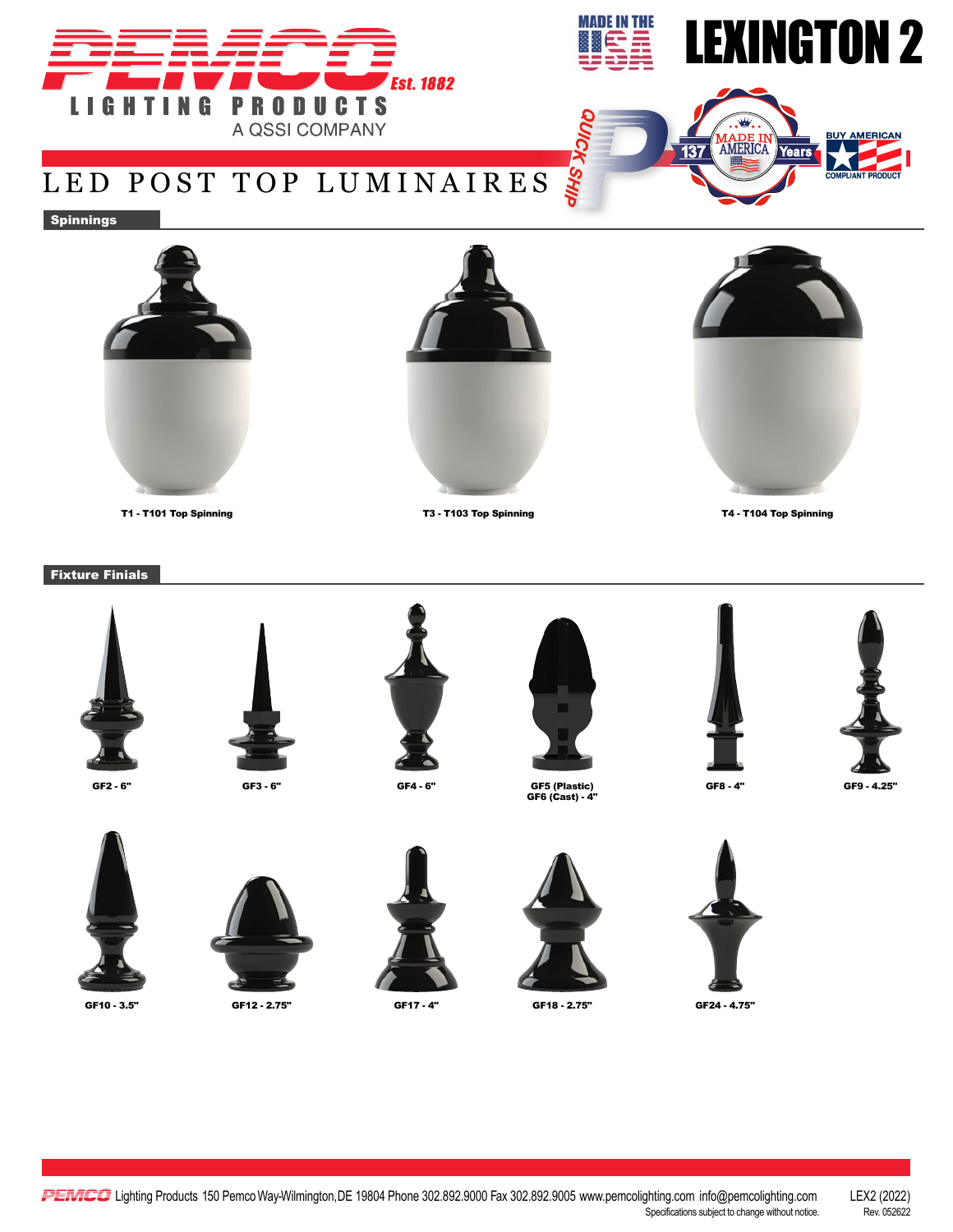



**MADE IN**<br>AMERICA

**Years** 

137

## LED POST TOP LUMINAIRES

Spinnings





T1 - T101 Top Spinning T3 - T103 Top Spinning T4 - T104 Top Spinning



Fixture Finials



GF2 - 6" GF3 - 6" GF4 - 6" GF5 (Plastic) GF6 (Cast) - 4"







SHIP





GF8 - 4" GF9 - 4.25"







GF10 - 3.5" GF12 - 2.75" GF17 - 4" GF18 - 2.75" GF24 - 4.75"